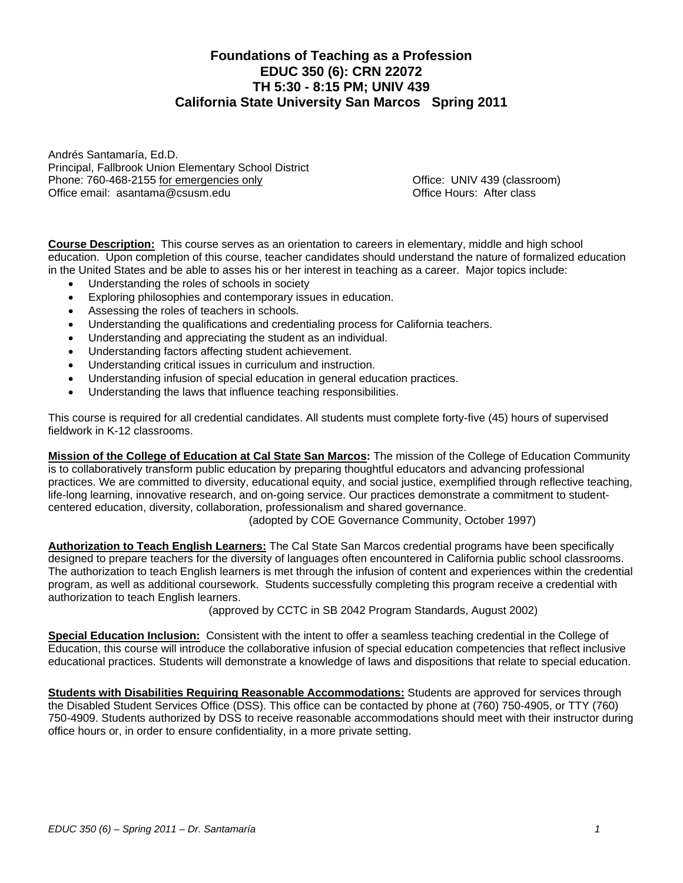# **Foundations of Teaching as a Profession EDUC 350 (6): CRN 22072 TH 5:30 - 8:15 PM; UNIV 439 California State University San Marcos Spring 2011**

Andrés Santamaría, Ed.D. Principal, Fallbrook Union Elementary School District Phone: 760-468-2155 for emergencies only **Example 2018** Contract Contract Contract Conduct Contract Contract Contract Contract Contract Contract Contract Contract Contract Contract Contract Contract Contract Contract Contr Office email: asantama@csusm.edu by example of the Control Office Hours: After class

**Course Description:** This course serves as an orientation to careers in elementary, middle and high school education. Upon completion of this course, teacher candidates should understand the nature of formalized education in the United States and be able to asses his or her interest in teaching as a career. Major topics include:

- Understanding the roles of schools in society
- Exploring philosophies and contemporary issues in education.
- Assessing the roles of teachers in schools.
- Understanding the qualifications and credentialing process for California teachers.
- Understanding and appreciating the student as an individual.
- Understanding factors affecting student achievement.
- Understanding critical issues in curriculum and instruction.
- Understanding infusion of special education in general education practices.
- Understanding the laws that influence teaching responsibilities.

This course is required for all credential candidates. All students must complete forty-five (45) hours of supervised fieldwork in K-12 classrooms.

**Mission of the College of Education at Cal State San Marcos:** The mission of the College of Education Community is to collaboratively transform public education by preparing thoughtful educators and advancing professional practices. We are committed to diversity, educational equity, and social justice, exemplified through reflective teaching, life-long learning, innovative research, and on-going service. Our practices demonstrate a commitment to studentcentered education, diversity, collaboration, professionalism and shared governance.

(adopted by COE Governance Community, October 1997)

**Authorization to Teach English Learners:** The Cal State San Marcos credential programs have been specifically designed to prepare teachers for the diversity of languages often encountered in California public school classrooms. The authorization to teach English learners is met through the infusion of content and experiences within the credential program, as well as additional coursework. Students successfully completing this program receive a credential with authorization to teach English learners.

(approved by CCTC in SB 2042 Program Standards, August 2002)

 **Special Education Inclusion:** Consistent with the intent to offer a seamless teaching credential in the College of Education, this course will introduce the collaborative infusion of special education competencies that reflect inclusive educational practices. Students will demonstrate a knowledge of laws and dispositions that relate to special education.

**Students with Disabilities Requiring Reasonable Accommodations:** Students are approved for services through the Disabled Student Services Office (DSS). This office can be contacted by phone at (760) 750-4905, or TTY (760) 750-4909. Students authorized by DSS to receive reasonable accommodations should meet with their instructor during office hours or, in order to ensure confidentiality, in a more private setting.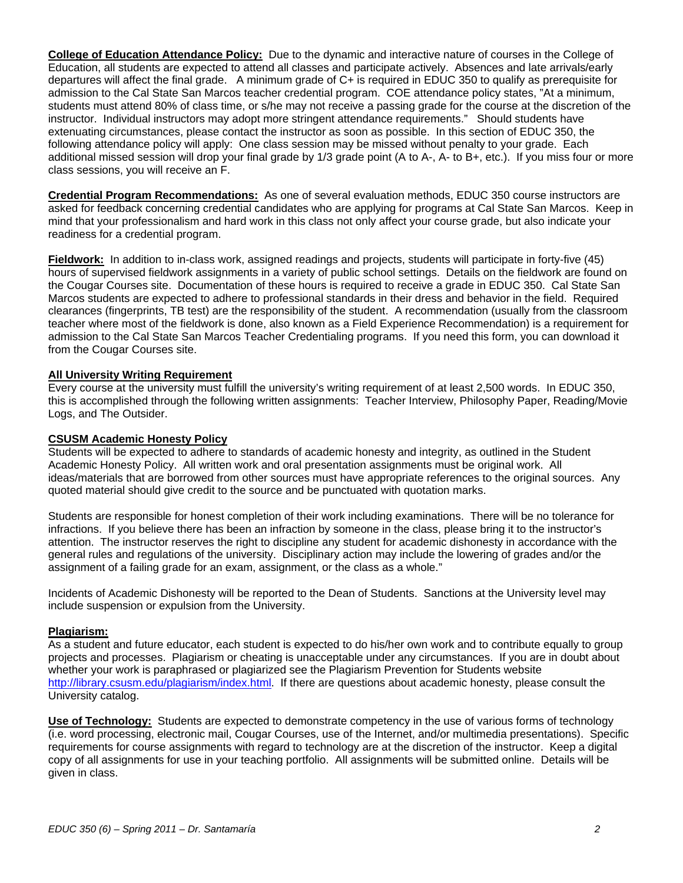**College of Education Attendance Policy:** Due to the dynamic and interactive nature of courses in the College of Education, all students are expected to attend all classes and participate actively. Absences and late arrivals/early departures will affect the final grade. A minimum grade of C+ is required in EDUC 350 to qualify as prerequisite for admission to the Cal State San Marcos teacher credential program. COE attendance policy states, "At a minimum, students must attend 80% of class time, or s/he may not receive a passing grade for the course at the discretion of the instructor. Individual instructors may adopt more stringent attendance requirements." Should students have extenuating circumstances, please contact the instructor as soon as possible. In this section of EDUC 350, the following attendance policy will apply: One class session may be missed without penalty to your grade. Each additional missed session will drop your final grade by 1/3 grade point (A to A-, A- to B+, etc.). If you miss four or more class sessions, you will receive an F.

**Credential Program Recommendations:** As one of several evaluation methods, EDUC 350 course instructors are asked for feedback concerning credential candidates who are applying for programs at Cal State San Marcos. Keep in mind that your professionalism and hard work in this class not only affect your course grade, but also indicate your readiness for a credential program.

**Fieldwork:** In addition to in-class work, assigned readings and projects, students will participate in forty-five (45) hours of supervised fieldwork assignments in a variety of public school settings. Details on the fieldwork are found on the Cougar Courses site. Documentation of these hours is required to receive a grade in EDUC 350. Cal State San Marcos students are expected to adhere to professional standards in their dress and behavior in the field. Required clearances (fingerprints, TB test) are the responsibility of the student. A recommendation (usually from the classroom teacher where most of the fieldwork is done, also known as a Field Experience Recommendation) is a requirement for admission to the Cal State San Marcos Teacher Credentialing programs. If you need this form, you can download it from the Cougar Courses site.

# **All University Writing Requirement**

Every course at the university must fulfill the university's writing requirement of at least 2,500 words. In EDUC 350, this is accomplished through the following written assignments: Teacher Interview, Philosophy Paper, Reading/Movie Logs, and The Outsider.

## **CSUSM Academic Honesty Policy**

Students will be expected to adhere to standards of academic honesty and integrity, as outlined in the Student Academic Honesty Policy. All written work and oral presentation assignments must be original work. All ideas/materials that are borrowed from other sources must have appropriate references to the original sources. Any quoted material should give credit to the source and be punctuated with quotation marks.

Students are responsible for honest completion of their work including examinations. There will be no tolerance for infractions. If you believe there has been an infraction by someone in the class, please bring it to the instructor's attention. The instructor reserves the right to discipline any student for academic dishonesty in accordance with the general rules and regulations of the university. Disciplinary action may include the lowering of grades and/or the assignment of a failing grade for an exam, assignment, or the class as a whole."

Incidents of Academic Dishonesty will be reported to the Dean of Students. Sanctions at the University level may include suspension or expulsion from the University.

## **Plagiarism:**

As a student and future educator, each student is expected to do his/her own work and to contribute equally to group projects and processes. Plagiarism or cheating is unacceptable under any circumstances. If you are in doubt about whether your work is paraphrased or plagiarized see the Plagiarism Prevention for Students website http://library.csusm.edu/plagiarism/index.html. If there are questions about academic honesty, please consult the University catalog.

**Use of Technology:** Students are expected to demonstrate competency in the use of various forms of technology (i.e. word processing, electronic mail, Cougar Courses, use of the Internet, and/or multimedia presentations). Specific requirements for course assignments with regard to technology are at the discretion of the instructor. Keep a digital copy of all assignments for use in your teaching portfolio. All assignments will be submitted online. Details will be given in class.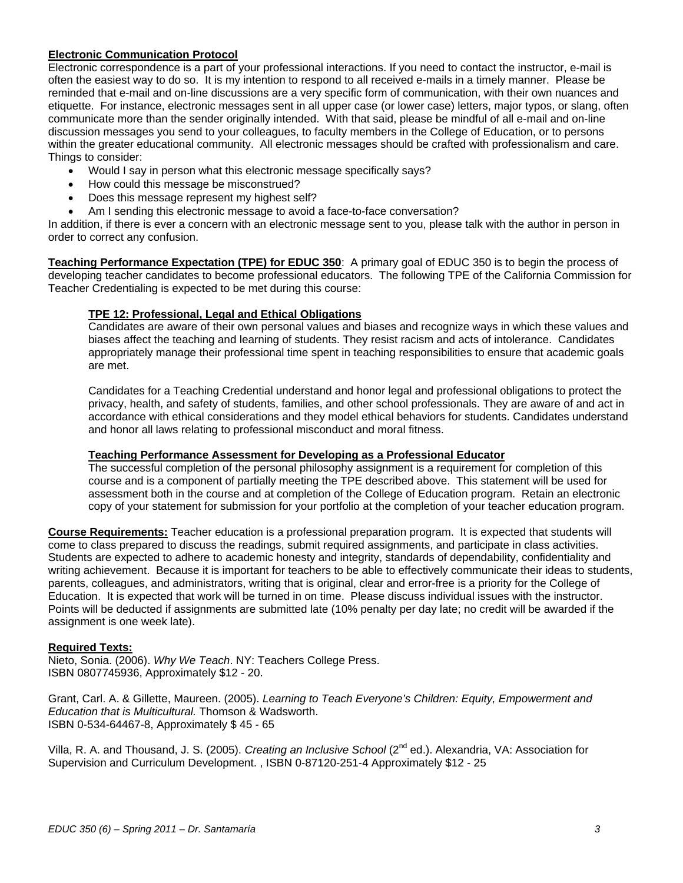# **Electronic Communication Protocol**

Electronic correspondence is a part of your professional interactions. If you need to contact the instructor, e-mail is often the easiest way to do so. It is my intention to respond to all received e-mails in a timely manner. Please be reminded that e-mail and on-line discussions are a very specific form of communication, with their own nuances and etiquette. For instance, electronic messages sent in all upper case (or lower case) letters, major typos, or slang, often communicate more than the sender originally intended. With that said, please be mindful of all e-mail and on-line discussion messages you send to your colleagues, to faculty members in the College of Education, or to persons within the greater educational community. All electronic messages should be crafted with professionalism and care. Things to consider:

- Would I say in person what this electronic message specifically says?
- How could this message be misconstrued?
- Does this message represent my highest self?
- Am I sending this electronic message to avoid a face-to-face conversation?

In addition, if there is ever a concern with an electronic message sent to you, please talk with the author in person in order to correct any confusion.

**Teaching Performance Expectation (TPE) for EDUC 350**: A primary goal of EDUC 350 is to begin the process of developing teacher candidates to become professional educators. The following TPE of the California Commission for Teacher Credentialing is expected to be met during this course:

# **TPE 12: Professional, Legal and Ethical Obligations**

Candidates are aware of their own personal values and biases and recognize ways in which these values and biases affect the teaching and learning of students. They resist racism and acts of intolerance. Candidates appropriately manage their professional time spent in teaching responsibilities to ensure that academic goals are met.

Candidates for a Teaching Credential understand and honor legal and professional obligations to protect the privacy, health, and safety of students, families, and other school professionals. They are aware of and act in accordance with ethical considerations and they model ethical behaviors for students. Candidates understand and honor all laws relating to professional misconduct and moral fitness.

## **Teaching Performance Assessment for Developing as a Professional Educator**

The successful completion of the personal philosophy assignment is a requirement for completion of this course and is a component of partially meeting the TPE described above. This statement will be used for assessment both in the course and at completion of the College of Education program. Retain an electronic copy of your statement for submission for your portfolio at the completion of your teacher education program.

**Course Requirements:** Teacher education is a professional preparation program. It is expected that students will come to class prepared to discuss the readings, submit required assignments, and participate in class activities. Students are expected to adhere to academic honesty and integrity, standards of dependability, confidentiality and writing achievement. Because it is important for teachers to be able to effectively communicate their ideas to students, parents, colleagues, and administrators, writing that is original, clear and error-free is a priority for the College of Education. It is expected that work will be turned in on time. Please discuss individual issues with the instructor. Points will be deducted if assignments are submitted late (10% penalty per day late; no credit will be awarded if the assignment is one week late).

## **Required Texts:**

Nieto, Sonia. (2006). *Why We Teach*. NY: Teachers College Press. ISBN 0807745936, Approximately \$12 - 20.

Grant, Carl. A. & Gillette, Maureen. (2005). *Learning to Teach Everyone's Children: Equity, Empowerment and Education that is Multicultural.* Thomson & Wadsworth. ISBN 0-534-64467-8, Approximately \$ 45 - 65

Villa, R. A. and Thousand, J. S. (2005). *Creating an Inclusive School* (2nd ed.). Alexandria, VA: Association for Supervision and Curriculum Development. , ISBN 0-87120-251-4 Approximately \$12 - 25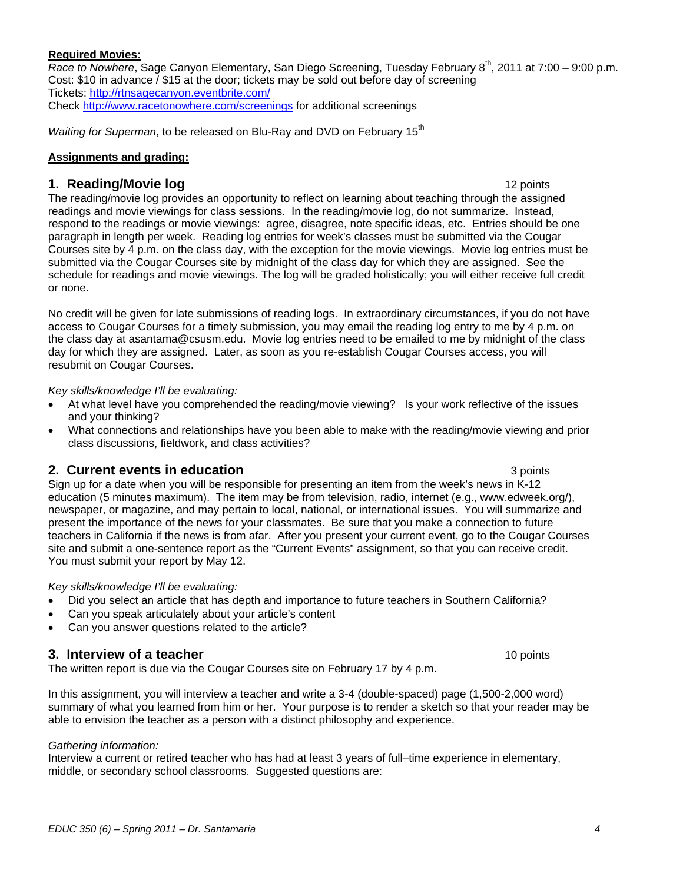# **Required Movies:**

*Race to Nowhere*, Sage Canyon Elementary, San Diego Screening, Tuesday February 8<sup>th</sup>, 2011 at 7:00 – 9:00 p.m. Cost: \$10 in advance / \$15 at the door; tickets may be sold out before day of screening Tickets: http://rtnsagecanyon.eventbrite.com/ Check http://www.racetonowhere.com/screenings for additional screenings

*Waiting for Superman*, to be released on Blu-Ray and DVD on February 15<sup>th</sup>

# **Assignments and grading:**

# **1. Reading/Movie log** 12 *noise* 12 points 12 *points*

The reading/movie log provides an opportunity to reflect on learning about teaching through the assigned readings and movie viewings for class sessions. In the reading/movie log, do not summarize. Instead, respond to the readings or movie viewings: agree, disagree, note specific ideas, etc. Entries should be one paragraph in length per week. Reading log entries for week's classes must be submitted via the Cougar Courses site by 4 p.m. on the class day, with the exception for the movie viewings. Movie log entries must be submitted via the Cougar Courses site by midnight of the class day for which they are assigned. See the schedule for readings and movie viewings. The log will be graded holistically; you will either receive full credit or none.

No credit will be given for late submissions of reading logs. In extraordinary circumstances, if you do not have access to Cougar Courses for a timely submission, you may email the reading log entry to me by 4 p.m. on the class day at asantama@csusm.edu. Movie log entries need to be emailed to me by midnight of the class day for which they are assigned. Later, as soon as you re-establish Cougar Courses access, you will resubmit on Cougar Courses.

## *Key skills/knowledge I'll be evaluating:*

- At what level have you comprehended the reading/movie viewing? Is your work reflective of the issues and your thinking?
- What connections and relationships have you been able to make with the reading/movie viewing and prior class discussions, fieldwork, and class activities?

# **2. Current events in education 3 points** 3 points

Sign up for a date when you will be responsible for presenting an item from the week's news in K-12 education (5 minutes maximum). The item may be from television, radio, internet (e.g., www.edweek.org/), newspaper, or magazine, and may pertain to local, national, or international issues. You will summarize and present the importance of the news for your classmates. Be sure that you make a connection to future teachers in California if the news is from afar. After you present your current event, go to the Cougar Courses site and submit a one-sentence report as the "Current Events" assignment, so that you can receive credit. You must submit your report by May 12.

## *Key skills/knowledge I'll be evaluating:*

- Did you select an article that has depth and importance to future teachers in Southern California?
- Can you speak articulately about your article's content
- Can you answer questions related to the article?

# **3. Interview of a teacher** 10 points

The written report is due via the Cougar Courses site on February 17 by 4 p.m.

In this assignment, you will interview a teacher and write a 3-4 (double-spaced) page (1,500-2,000 word) summary of what you learned from him or her. Your purpose is to render a sketch so that your reader may be able to envision the teacher as a person with a distinct philosophy and experience.

## *Gathering information:*

 middle, or secondary school classrooms. Suggested questions are: Interview a current or retired teacher who has had at least 3 years of full–time experience in elementary,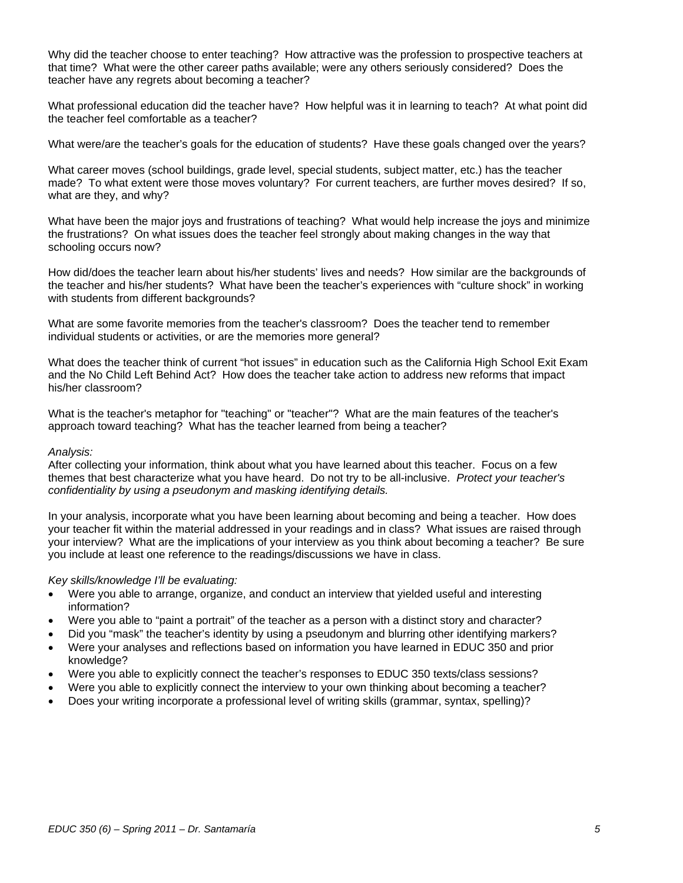Why did the teacher choose to enter teaching? How attractive was the profession to prospective teachers at that time? What were the other career paths available; were any others seriously considered? Does the teacher have any regrets about becoming a teacher?

What professional education did the teacher have? How helpful was it in learning to teach? At what point did the teacher feel comfortable as a teacher?

What were/are the teacher's goals for the education of students? Have these goals changed over the years?

 made? To what extent were those moves voluntary? For current teachers, are further moves desired? If so, What career moves (school buildings, grade level, special students, subject matter, etc.) has the teacher what are they, and why?

What have been the major joys and frustrations of teaching? What would help increase the joys and minimize the frustrations? On what issues does the teacher feel strongly about making changes in the way that schooling occurs now?

How did/does the teacher learn about his/her students' lives and needs? How similar are the backgrounds of the teacher and his/her students? What have been the teacher's experiences with "culture shock" in working with students from different backgrounds?

individual students or activities, or are the memories more general? What are some favorite memories from the teacher's classroom? Does the teacher tend to remember

What does the teacher think of current "hot issues" in education such as the California High School Exit Exam and the No Child Left Behind Act? How does the teacher take action to address new reforms that impact his/her classroom?

What is the teacher's metaphor for "teaching" or "teacher"? What are the main features of the teacher's approach toward teaching? What has the teacher learned from being a teacher?

#### *Analysis:*

After collecting your information, think about what you have learned about this teacher. Focus on a few themes that best characterize what you have heard. Do not try to be all-inclusive. *Protect your teacher's confidentiality by using a pseudonym and masking identifying details.* 

In your analysis, incorporate what you have been learning about becoming and being a teacher. How does your teacher fit within the material addressed in your readings and in class? What issues are raised through your interview? What are the implications of your interview as you think about becoming a teacher? Be sure you include at least one reference to the readings/discussions we have in class.

## *Key skills/knowledge I'll be evaluating:*

- Were you able to arrange, organize, and conduct an interview that yielded useful and interesting information?
- Were you able to "paint a portrait" of the teacher as a person with a distinct story and character?
- Did you "mask" the teacher's identity by using a pseudonym and blurring other identifying markers?
- Were your analyses and reflections based on information you have learned in EDUC 350 and prior knowledge?
- Were you able to explicitly connect the teacher's responses to EDUC 350 texts/class sessions?
- Were you able to explicitly connect the interview to your own thinking about becoming a teacher?
- Does your writing incorporate a professional level of writing skills (grammar, syntax, spelling)?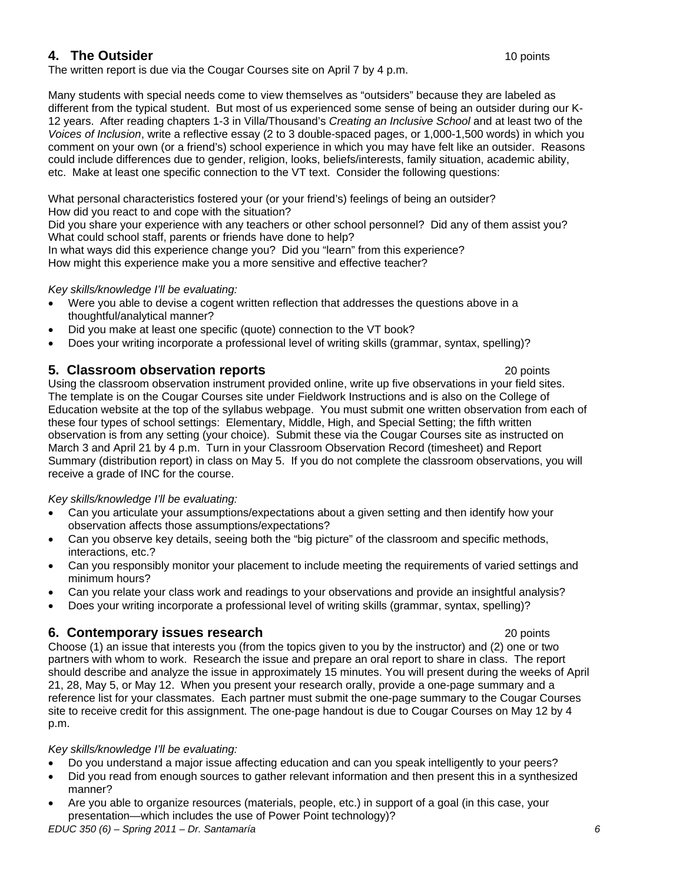# **4. The Outsider**  10 points

The written report is due via the Cougar Courses site on April 7 by 4 p.m.

Many students with special needs come to view themselves as "outsiders" because they are labeled as different from the typical student. But most of us experienced some sense of being an outsider during our K-12 years. After reading chapters 1-3 in Villa/Thousand's *Creating an Inclusive School* and at least two of the *Voices of Inclusion*, write a reflective essay (2 to 3 double-spaced pages, or 1,000-1,500 words) in which you comment on your own (or a friend's) school experience in which you may have felt like an outsider. Reasons could include differences due to gender, religion, looks, beliefs/interests, family situation, academic ability, etc. Make at least one specific connection to the VT text. Consider the following questions:

What personal characteristics fostered your (or your friend's) feelings of being an outsider? How did you react to and cope with the situation?

Did you share your experience with any teachers or other school personnel? Did any of them assist you? What could school staff, parents or friends have done to help?

In what ways did this experience change you? Did you "learn" from this experience? How might this experience make you a more sensitive and effective teacher?

# *Key skills/knowledge I'll be evaluating:*

- Were you able to devise a cogent written reflection that addresses the questions above in a thoughtful/analytical manner?
- Did you make at least one specific (quote) connection to the VT book?
- Does your writing incorporate a professional level of writing skills (grammar, syntax, spelling)?

# **5. Classroom observation reports** 20 points 20 points

Using the classroom observation instrument provided online, write up five observations in your field sites. The template is on the Cougar Courses site under Fieldwork Instructions and is also on the College of Education website at the top of the syllabus webpage. You must submit one written observation from each of these four types of school settings: Elementary, Middle, High, and Special Setting; the fifth written observation is from any setting (your choice). Submit these via the Cougar Courses site as instructed on March 3 and April 21 by 4 p.m. Turn in your Classroom Observation Record (timesheet) and Report Summary (distribution report) in class on May 5. If you do not complete the classroom observations, you will receive a grade of INC for the course.

## *Key skills/knowledge I'll be evaluating:*

- Can you articulate your assumptions/expectations about a given setting and then identify how your observation affects those assumptions/expectations?
- Can you observe key details, seeing both the "big picture" of the classroom and specific methods, interactions, etc.?
- Can you responsibly monitor your placement to include meeting the requirements of varied settings and minimum hours?
- Can you relate your class work and readings to your observations and provide an insightful analysis?
- Does your writing incorporate a professional level of writing skills (grammar, syntax, spelling)?

# **6. Contemporary issues research 20 points** 20 points

Choose (1) an issue that interests you (from the topics given to you by the instructor) and (2) one or two partners with whom to work. Research the issue and prepare an oral report to share in class. The report should describe and analyze the issue in approximately 15 minutes. You will present during the weeks of April 21, 28, May 5, or May 12. When you present your research orally, provide a one-page summary and a reference list for your classmates. Each partner must submit the one-page summary to the Cougar Courses site to receive credit for this assignment. The one-page handout is due to Cougar Courses on May 12 by 4 p.m.

# *Key skills/knowledge I'll be evaluating:*

- Do you understand a major issue affecting education and can you speak intelligently to your peers?
- Did you read from enough sources to gather relevant information and then present this in a synthesized manner?
- Are you able to organize resources (materials, people, etc.) in support of a goal (in this case, your presentation—which includes the use of Power Point technology)?

*EDUC 350 (6) – Spring 2011 – Dr. Santamaría 6*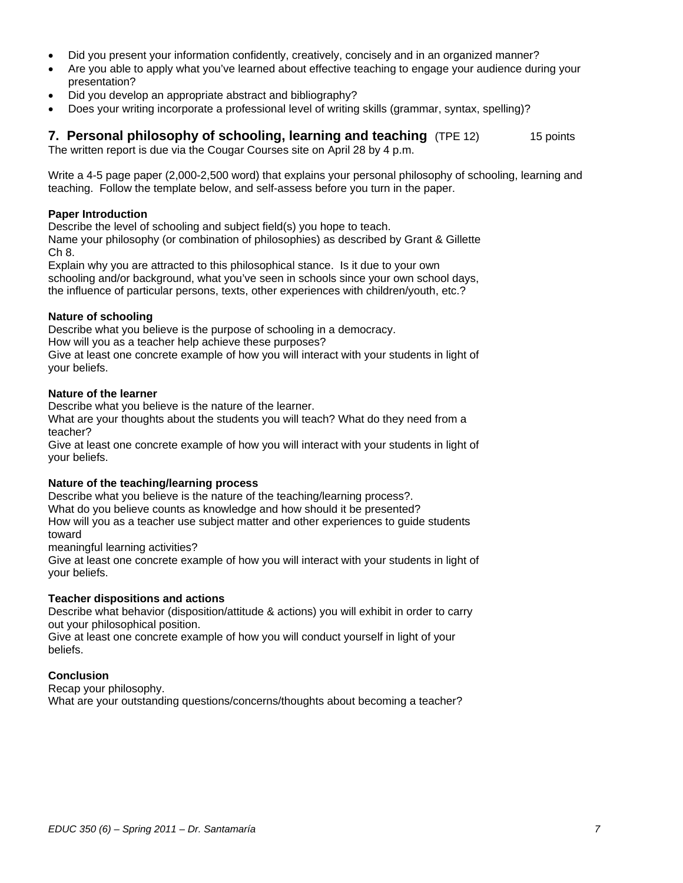- Did you present your information confidently, creatively, concisely and in an organized manner?
- Are you able to apply what you've learned about effective teaching to engage your audience during your presentation?
- Did you develop an appropriate abstract and bibliography?
- Does your writing incorporate a professional level of writing skills (grammar, syntax, spelling)?

**7. Personal philosophy of schooling, learning and teaching** (TPE 12) 15 points The written report is due via the Cougar Courses site on April 28 by 4 p.m.

Write a 4-5 page paper (2,000-2,500 word) that explains your personal philosophy of schooling, learning and teaching. Follow the template below, and self-assess before you turn in the paper.

## **Paper Introduction**

Describe the level of schooling and subject field(s) you hope to teach.

Name your philosophy (or combination of philosophies) as described by Grant & Gillette Ch 8.

Explain why you are attracted to this philosophical stance. Is it due to your own schooling and/or background, what you've seen in schools since your own school days, the influence of particular persons, texts, other experiences with children/youth, etc.?

# **Nature of schooling**

Describe what you believe is the purpose of schooling in a democracy. How will you as a teacher help achieve these purposes? Give at least one concrete example of how you will interact with your students in light of your beliefs.

## **Nature of the learner**

Describe what you believe is the nature of the learner.

What are your thoughts about the students you will teach? What do they need from a teacher?

Give at least one concrete example of how you will interact with your students in light of your beliefs.

# **Nature of the teaching/learning process**

Describe what you believe is the nature of the teaching/learning process?. What do you believe counts as knowledge and how should it be presented? How will you as a teacher use subject matter and other experiences to guide students toward

meaningful learning activities?

Give at least one concrete example of how you will interact with your students in light of your beliefs.

## **Teacher dispositions and actions**

Describe what behavior (disposition/attitude & actions) you will exhibit in order to carry out your philosophical position.

Give at least one concrete example of how you will conduct yourself in light of your beliefs.

## **Conclusion**

Recap your philosophy. What are your outstanding questions/concerns/thoughts about becoming a teacher?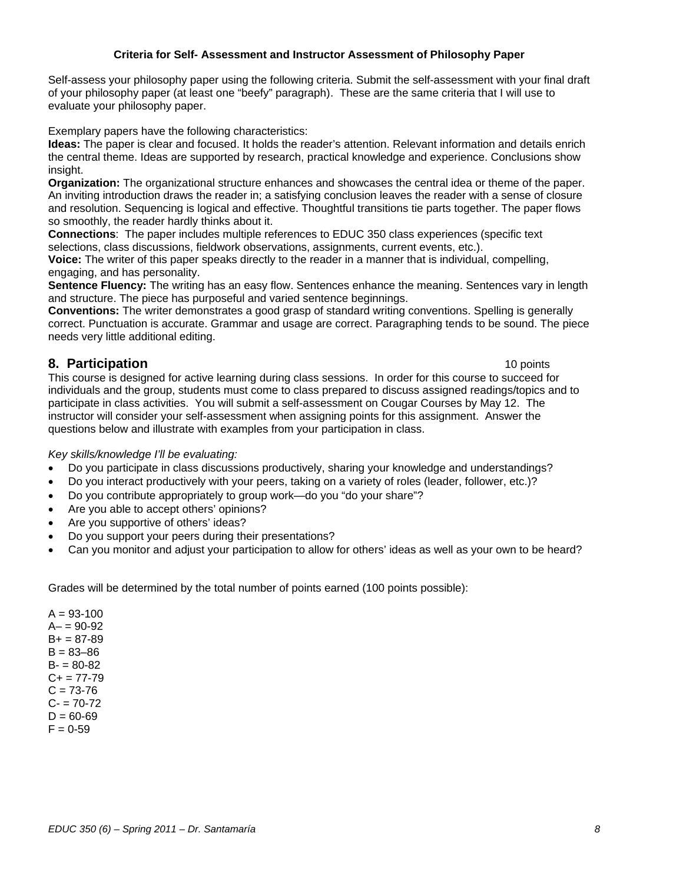# **Criteria for Self- Assessment and Instructor Assessment of Philosophy Paper**

Self-assess your philosophy paper using the following criteria. Submit the self-assessment with your final draft of your philosophy paper (at least one "beefy" paragraph). These are the same criteria that I will use to evaluate your philosophy paper.

Exemplary papers have the following characteristics:

**Ideas:** The paper is clear and focused. It holds the reader's attention. Relevant information and details enrich the central theme. Ideas are supported by research, practical knowledge and experience. Conclusions show insight.

**Organization:** The organizational structure enhances and showcases the central idea or theme of the paper. An inviting introduction draws the reader in; a satisfying conclusion leaves the reader with a sense of closure and resolution. Sequencing is logical and effective. Thoughtful transitions tie parts together. The paper flows so smoothly, the reader hardly thinks about it.

**Connections**: The paper includes multiple references to EDUC 350 class experiences (specific text selections, class discussions, fieldwork observations, assignments, current events, etc.).

**Voice:** The writer of this paper speaks directly to the reader in a manner that is individual, compelling, engaging, and has personality.

**Sentence Fluency:** The writing has an easy flow. Sentences enhance the meaning. Sentences vary in length and structure. The piece has purposeful and varied sentence beginnings.

**Conventions:** The writer demonstrates a good grasp of standard writing conventions. Spelling is generally correct. Punctuation is accurate. Grammar and usage are correct. Paragraphing tends to be sound. The piece needs very little additional editing.

# **8. Participation** 10 **points** 10 **points** 10 **points**

This course is designed for active learning during class sessions. In order for this course to succeed for individuals and the group, students must come to class prepared to discuss assigned readings/topics and to participate in class activities. You will submit a self-assessment on Cougar Courses by May 12. The instructor will consider your self-assessment when assigning points for this assignment. Answer the questions below and illustrate with examples from your participation in class.

*Key skills/knowledge I'll be evaluating:* 

- Do you participate in class discussions productively, sharing your knowledge and understandings?
- Do you interact productively with your peers, taking on a variety of roles (leader, follower, etc.)?
- Do you contribute appropriately to group work—do you "do your share"?
- Are you able to accept others' opinions?
- Are you supportive of others' ideas?
- Do you support your peers during their presentations?
- Can you monitor and adjust your participation to allow for others' ideas as well as your own to be heard?

Grades will be determined by the total number of points earned (100 points possible):

 $A = 93 - 100$  $A - 90 - 92$  $B+ = 87-89$  $B = 83 - 86$  $B = 80 - 82$  $C_{+}$  = 77-79  $C = 73-76$  $C - 70 - 72$  $D = 60 - 69$  $F = 0.59$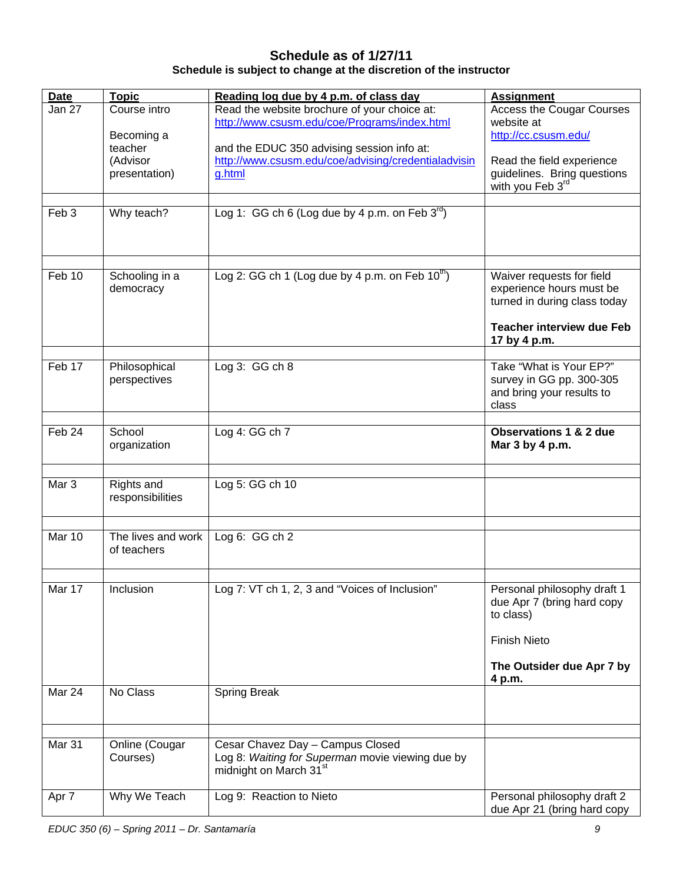# **Schedule as of 1/27/11 Schedule is subject to change at the discretion of the instructor**

| <b>Date</b>      | <b>Topic</b>                      | Reading log due by 4 p.m. of class day                        | <b>Assignment</b>                                           |
|------------------|-----------------------------------|---------------------------------------------------------------|-------------------------------------------------------------|
| Jan 27           | Course intro                      | Read the website brochure of your choice at:                  | <b>Access the Cougar Courses</b>                            |
|                  | Becoming a                        | http://www.csusm.edu/coe/Programs/index.html                  | website at<br>http://cc.csusm.edu/                          |
|                  | teacher                           | and the EDUC 350 advising session info at:                    |                                                             |
|                  | (Advisor<br>presentation)         | http://www.csusm.edu/coe/advising/credentialadvisin<br>g.html | Read the field experience                                   |
|                  |                                   |                                                               | guidelines. Bring questions<br>with you Feb 3 <sup>rd</sup> |
| Feb <sub>3</sub> | Why teach?                        | Log 1: GG ch 6 (Log due by 4 p.m. on Feb $3^{rd}$ )           |                                                             |
|                  |                                   |                                                               |                                                             |
|                  |                                   |                                                               |                                                             |
| Feb 10           | Schooling in a                    | Log 2: GG ch 1 (Log due by 4 p.m. on Feb $10^{\text{th}}$ )   | Waiver requests for field                                   |
|                  | democracy                         |                                                               | experience hours must be                                    |
|                  |                                   |                                                               | turned in during class today                                |
|                  |                                   |                                                               | <b>Teacher interview due Feb</b><br>17 by 4 p.m.            |
| Feb 17           | Philosophical                     | Log 3: GG ch 8                                                | Take "What is Your EP?"                                     |
|                  | perspectives                      |                                                               | survey in GG pp. 300-305                                    |
|                  |                                   |                                                               | and bring your results to<br>class                          |
|                  |                                   |                                                               |                                                             |
| Feb 24           | School<br>organization            | Log 4: GG ch 7                                                | <b>Observations 1 &amp; 2 due</b><br>Mar 3 by 4 p.m.        |
|                  |                                   |                                                               |                                                             |
| Mar <sub>3</sub> | Rights and                        | Log 5: GG ch 10                                               |                                                             |
|                  | responsibilities                  |                                                               |                                                             |
|                  |                                   |                                                               |                                                             |
| Mar 10           | The lives and work<br>of teachers | Log $6:GGch2$                                                 |                                                             |
|                  |                                   |                                                               |                                                             |
| Mar 17           | Inclusion                         | Log 7: VT ch 1, 2, 3 and "Voices of Inclusion"                | Personal philosophy draft 1                                 |
|                  |                                   |                                                               | due Apr 7 (bring hard copy<br>to class)                     |
|                  |                                   |                                                               |                                                             |
|                  |                                   |                                                               | <b>Finish Nieto</b>                                         |
|                  |                                   |                                                               | The Outsider due Apr 7 by<br>4 p.m.                         |
| Mar 24           | No Class                          | <b>Spring Break</b>                                           |                                                             |
|                  |                                   |                                                               |                                                             |
| Mar 31           | Online (Cougar                    | Cesar Chavez Day - Campus Closed                              |                                                             |
|                  | Courses)                          | Log 8: Waiting for Superman movie viewing due by              |                                                             |
|                  |                                   | midnight on March 31 <sup>st</sup>                            |                                                             |
| Apr 7            | Why We Teach                      | Log 9: Reaction to Nieto                                      | Personal philosophy draft 2                                 |
|                  |                                   |                                                               | due Apr 21 (bring hard copy                                 |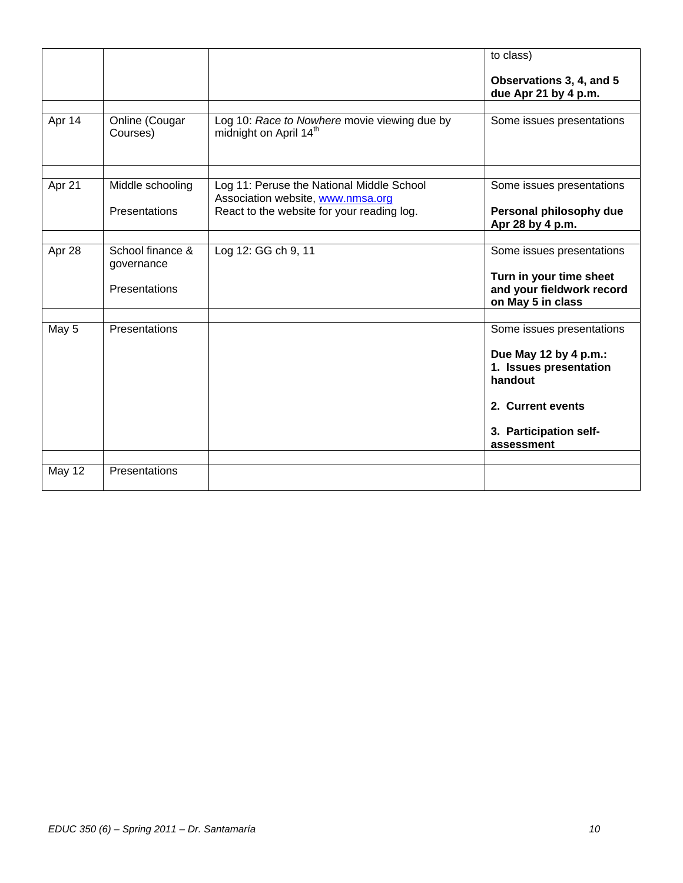|               |                                |                                                                                    | to class)                                                                 |
|---------------|--------------------------------|------------------------------------------------------------------------------------|---------------------------------------------------------------------------|
|               |                                |                                                                                    | Observations 3, 4, and 5<br>due Apr 21 by 4 p.m.                          |
|               |                                |                                                                                    |                                                                           |
| Apr 14        | Online (Cougar<br>Courses)     | Log 10: Race to Nowhere movie viewing due by<br>midnight on April 14 <sup>th</sup> | Some issues presentations                                                 |
|               |                                |                                                                                    |                                                                           |
| Apr 21        | Middle schooling               | Log 11: Peruse the National Middle School<br>Association website, www.nmsa.org     | Some issues presentations                                                 |
|               | Presentations                  | React to the website for your reading log.                                         | Personal philosophy due<br>Apr 28 by 4 p.m.                               |
|               |                                |                                                                                    |                                                                           |
| Apr 28        | School finance &<br>governance | Log 12: GG ch 9, 11                                                                | Some issues presentations                                                 |
|               | Presentations                  |                                                                                    | Turn in your time sheet<br>and your fieldwork record<br>on May 5 in class |
|               |                                |                                                                                    |                                                                           |
| May 5         | Presentations                  |                                                                                    | Some issues presentations                                                 |
|               |                                |                                                                                    | Due May 12 by 4 p.m.:                                                     |
|               |                                |                                                                                    | 1. Issues presentation                                                    |
|               |                                |                                                                                    | handout                                                                   |
|               |                                |                                                                                    | 2. Current events                                                         |
|               |                                |                                                                                    | 3. Participation self-                                                    |
|               |                                |                                                                                    | assessment                                                                |
|               |                                |                                                                                    |                                                                           |
| <b>May 12</b> | Presentations                  |                                                                                    |                                                                           |